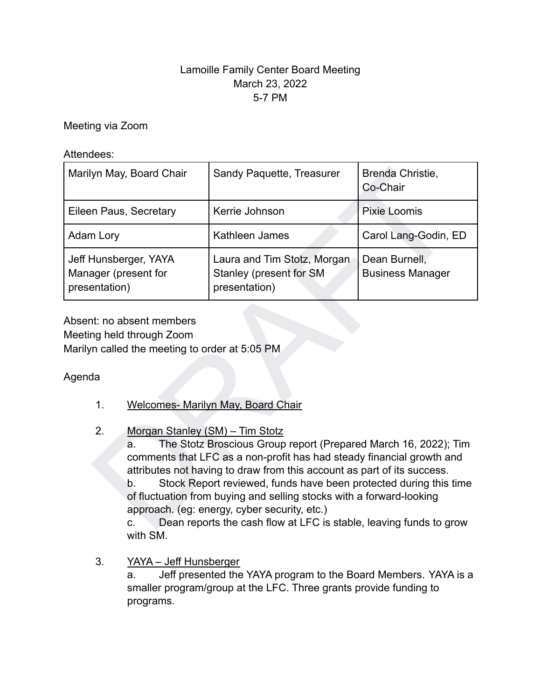## Lamoille Family Center Board Meeting March 23, 2022 5-7 PM

Meeting via Zoom

Attendees:

| Marilyn May, Board Chair                                       |                                                                                                                                                                                                                                                                                                                                                                                                                                                                                                                                             | Sandy Paquette, Treasurer                                               | Brenda Christie,<br>Co-Chair             |
|----------------------------------------------------------------|---------------------------------------------------------------------------------------------------------------------------------------------------------------------------------------------------------------------------------------------------------------------------------------------------------------------------------------------------------------------------------------------------------------------------------------------------------------------------------------------------------------------------------------------|-------------------------------------------------------------------------|------------------------------------------|
| Eileen Paus, Secretary                                         |                                                                                                                                                                                                                                                                                                                                                                                                                                                                                                                                             | Kerrie Johnson                                                          | Pixie Loomis                             |
| Adam Lory                                                      |                                                                                                                                                                                                                                                                                                                                                                                                                                                                                                                                             | Kathleen James                                                          | Carol Lang-Godin, ED                     |
| Jeff Hunsberger, YAYA<br>Manager (present for<br>presentation) |                                                                                                                                                                                                                                                                                                                                                                                                                                                                                                                                             | Laura and Tim Stotz, Morgan<br>Stanley (present for SM<br>presentation) | Dean Burnell,<br><b>Business Manager</b> |
| Agenda                                                         | Absent: no absent members<br>Meeting held through Zoom<br>Marilyn called the meeting to order at 5:05 PM                                                                                                                                                                                                                                                                                                                                                                                                                                    |                                                                         |                                          |
| 1.                                                             | <b>Welcomes- Marilyn May, Board Chair</b>                                                                                                                                                                                                                                                                                                                                                                                                                                                                                                   |                                                                         |                                          |
| 2.                                                             | Morgan Stanley (SM) - Tim Stotz<br>The Stotz Broscious Group report (Prepared March 16, 2022); Tim<br>a.<br>comments that LFC as a non-profit has had steady financial growth and<br>attributes not having to draw from this account as part of its success.<br>Stock Report reviewed, funds have been protected during this time<br>b.<br>of fluctuation from buying and selling stocks with a forward-looking<br>approach. (eg: energy, cyber security, etc.)<br>Dean reports the cash flow at LFC is stable, leaving funds to grow<br>C. |                                                                         |                                          |

### 2. Morgan Stanley (SM) – Tim Stotz

c. Dean reports the cash flow at LFC is stable, leaving funds to grow with SM.

3. YAYA – Jeff Hunsberger

a. Jeff presented the YAYA program to the Board Members. YAYA is a smaller program/group at the LFC. Three grants provide funding to programs.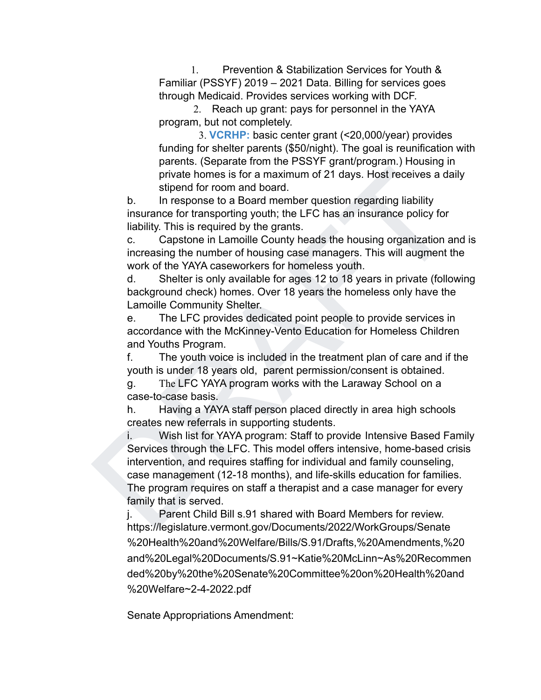1. Prevention & Stabilization Services for Youth & Familiar (PSSYF) 2019 – 2021 Data. Billing for services goes through Medicaid. Provides services working with DCF.

2. Reach up grant: pays for personnel in the YAYA program, but not completely.

3. **VCRHP:** basic center grant (<20,000/year) provides funding for shelter parents (\$50/night). The goal is reunification with parents. (Separate from the PSSYF grant/program.) Housing in private homes is for a maximum of 21 days. Host receives a daily stipend for room and board.

b. In response to a Board member question regarding liability insurance for transporting youth; the LFC has an insurance policy for liability. This is required by the grants.

c. Capstone in Lamoille County heads the housing organization and is increasing the number of housing case managers. This will augment the work of the YAYA caseworkers for homeless youth.

d. Shelter is only available for ages 12 to 18 years in private (following background check) homes. Over 18 years the homeless only have the Lamoille Community Shelter.

e. The LFC provides dedicated point people to provide services in accordance with the McKinney-Vento Education for Homeless Children and Youths Program.

f. The youth voice is included in the treatment plan of care and if the youth is under 18 years old, parent permission/consent is obtained.

g. The LFC YAYA program works with the Laraway School on a case-to-case basis.

h. Having a YAYA staff person placed directly in area high schools creates new referrals in supporting students.

private homes is for a maximum of 21 days. Host receives a daily<br>since homes is for a maximum of 21 days. Host receives a daily<br>b. In response to a Board member question regarding liability<br>insurance for transporting youth i. Wish list for YAYA program: Staff to provide Intensive Based Family Services through the LFC. This model offers intensive, home-based crisis intervention, and requires staffing for individual and family counseling, case management (12-18 months), and life-skills education for families. The program requires on staff a therapist and a case manager for every family that is served.

j. Parent Child Bill s.91 shared with Board Members for review. https://legislature.vermont.gov/Documents/2022/WorkGroups/Senate %20Health%20and%20Welfare/Bills/S.91/Drafts,%20Amendments,%20 and%20Legal%20Documents/S.91~Katie%20McLinn~As%20Recommen ded%20by%20the%20Senate%20Committee%20on%20Health%20and %20Welfare~2-4-2022.pdf

Senate Appropriations Amendment: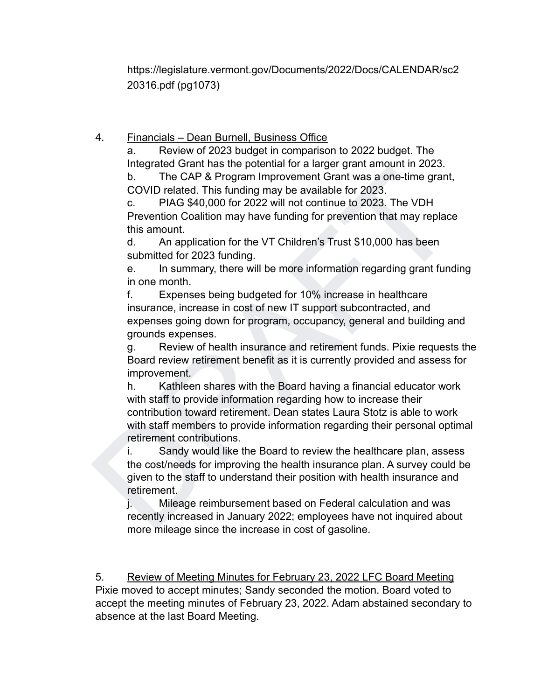https://legislature.vermont.gov/Documents/2022/Docs/CALENDAR/sc2 20316.pdf (pg1073)

# 4. Financials – Dean Burnell, Business Office

a. Review of 2023 budget in comparison to 2022 budget. The Integrated Grant has the potential for a larger grant amount in 2023. b. The CAP & Program Improvement Grant was a one-time grant,

COVID related. This funding may be available for 2023.

c. PIAG \$40,000 for 2022 will not continue to 2023. The VDH Prevention Coalition may have funding for prevention that may replace this amount.

d. An application for the VT Children's Trust \$10,000 has been submitted for 2023 funding.

e. In summary, there will be more information regarding grant funding in one month.

f. Expenses being budgeted for 10% increase in healthcare insurance, increase in cost of new IT support subcontracted, and expenses going down for program, occupancy, general and building and grounds expenses.

g. Review of health insurance and retirement funds. Pixie requests the Board review retirement benefit as it is currently provided and assess for improvement.

inc. This Language of the Board into a diagonal into a diagonal matric and the CAP & Program Improvement Grant was a one-tline grant,<br>C. D. Place CAP & Program Improvement Grant was a one-tline grant,<br>C. D. Place S40,000 f h. Kathleen shares with the Board having a financial educator work with staff to provide information regarding how to increase their contribution toward retirement. Dean states Laura Stotz is able to work with staff members to provide information regarding their personal optimal retirement contributions.

i. Sandy would like the Board to review the healthcare plan, assess the cost/needs for improving the health insurance plan. A survey could be given to the staff to understand their position with health insurance and retirement.

j. Mileage reimbursement based on Federal calculation and was recently increased in January 2022; employees have not inquired about more mileage since the increase in cost of gasoline.

5. Review of Meeting Minutes for February 23, 2022 LFC Board Meeting Pixie moved to accept minutes; Sandy seconded the motion. Board voted to accept the meeting minutes of February 23, 2022. Adam abstained secondary to absence at the last Board Meeting.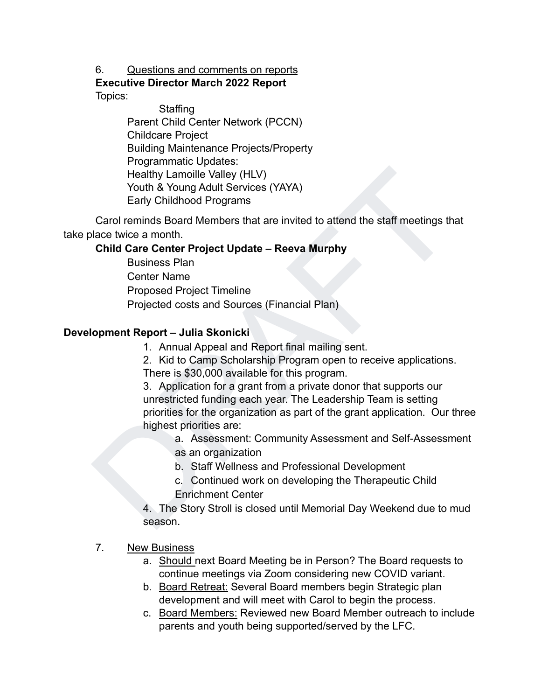#### 6. Questions and comments on reports

**Executive Director March 2022 Report** Topics:

> **Staffing** Parent Child Center Network (PCCN) Childcare Project Building Maintenance Projects/Property Programmatic Updates: Healthy Lamoille Valley (HLV) Youth & Young Adult Services (YAYA) Early Childhood Programs

Carol reminds Board Members that are invited to attend the staff meetings that take place twice a month.

#### **Child Care Center Project Update – Reeva Murphy**

Business Plan Center Name Proposed Project Timeline Projected costs and Sources (Financial Plan)

#### **Development Report – Julia Skonicki**

1. Annual Appeal and Report final mailing sent.

2. Kid to Camp Scholarship Program open to receive applications. There is \$30,000 available for this program.

Healthy Lamoille Valley (HLV)<br>
Youth & Young Adult Services (YAYA)<br>
Early Childhood Programs<br>
Carol reminds Board Members that are invited to attend the staff meetings that<br>
lace twice a month.<br>
Child Care Carter Project U 3. Application for a grant from a private donor that supports our unrestricted funding each year. The Leadership Team is setting priorities for the organization as part of the grant application. Our three highest priorities are:

a. Assessment: Community Assessment and Self-Assessment

- as an organization
- b. Staff Wellness and Professional Development
- c. Continued work on developing the Therapeutic Child
- Enrichment Center

4. The Story Stroll is closed until Memorial Day Weekend due to mud season.

#### 7. New Business

- a. Should next Board Meeting be in Person? The Board requests to continue meetings via Zoom considering new COVID variant.
- b. Board Retreat: Several Board members begin Strategic plan development and will meet with Carol to begin the process.
- c. Board Members: Reviewed new Board Member outreach to include parents and youth being supported/served by the LFC.